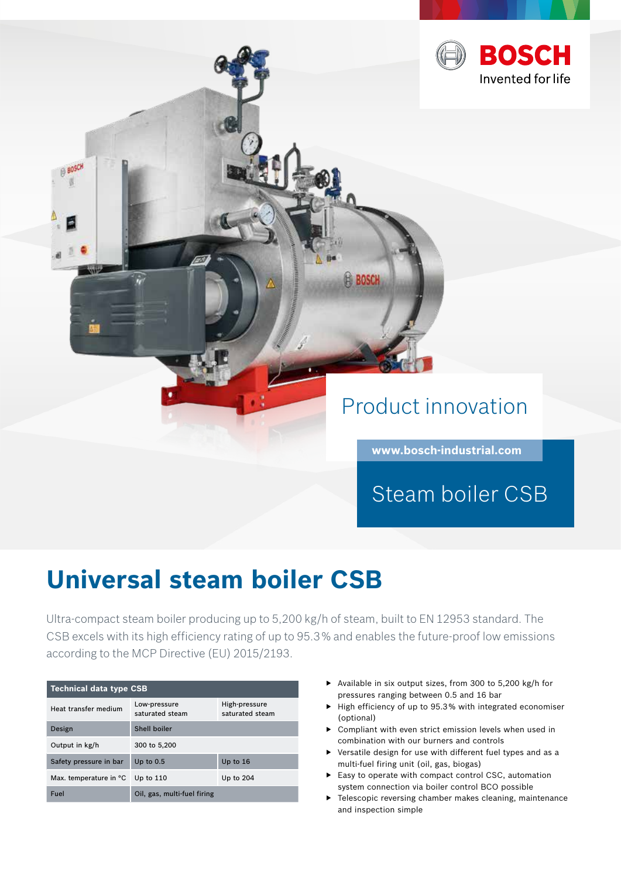

**www.bosch-industrial.com**

Steam boiler CSB

# **Universal steam boiler CSB**

Ultra-compact steam boiler producing up to 5,200 kg/h of steam, built to EN 12953 standard. The CSB excels with its high efficiency rating of up to 95.3 % and enables the future-proof low emissions according to the MCP Directive (EU) 2015/2193.

| <b>Technical data type CSB</b> |                                 |                                  |
|--------------------------------|---------------------------------|----------------------------------|
| Heat transfer medium           | Low-pressure<br>saturated steam | High-pressure<br>saturated steam |
| Design                         | Shell boiler                    |                                  |
| Output in kg/h                 | 300 to 5,200                    |                                  |
| Safety pressure in bar         | Up to $0.5$                     | Up to 16                         |
| Max. temperature in °C         | Up to $110$                     | Up to 204                        |
| Fuel                           | Oil, gas, multi-fuel firing     |                                  |

- ▶ Available in six output sizes, from 300 to 5,200 kg/h for pressures ranging between 0.5 and 16 bar
- ▶ High efficiency of up to 95.3 % with integrated economiser (optional)
- ▶ Compliant with even strict emission levels when used in combination with our burners and controls
- ▶ Versatile design for use with different fuel types and as a multi-fuel firing unit (oil, gas, biogas)
- ▶ Easy to operate with compact control CSC, automation system connection via boiler control BCO possible
- ▶ Telescopic reversing chamber makes cleaning, maintenance and inspection simple